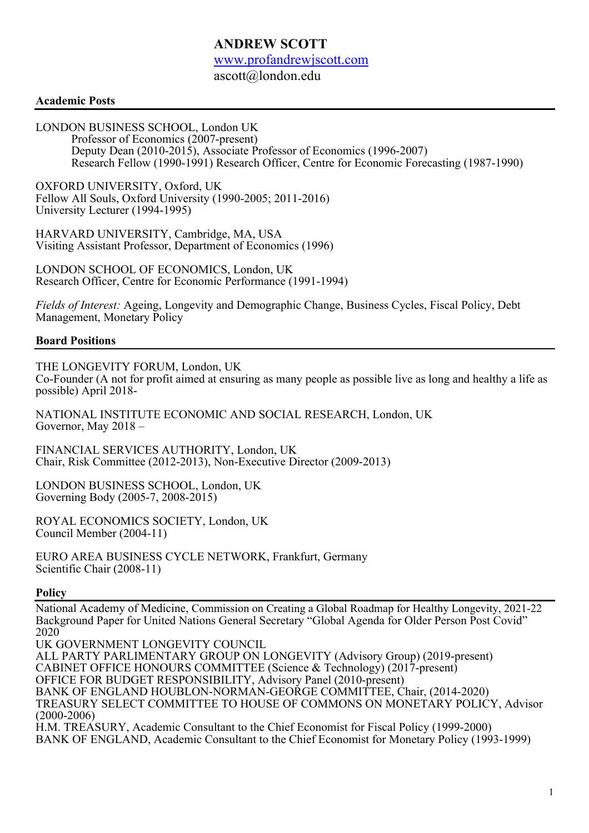# **ANDREW SCOTT**

www.profandrewjscott.com

ascott@london.edu

## **Academic Posts**

LONDON BUSINESS SCHOOL, London UK Professor of Economics (2007-present) Deputy Dean (2010-2015), Associate Professor of Economics (1996-2007) Research Fellow (1990-1991) Research Officer, Centre for Economic Forecasting (1987-1990)

OXFORD UNIVERSITY, Oxford, UK Fellow All Souls, Oxford University (1990-2005; 2011-2016) University Lecturer (1994-1995)

HARVARD UNIVERSITY, Cambridge, MA, USA Visiting Assistant Professor, Department of Economics (1996)

LONDON SCHOOL OF ECONOMICS, London, UK Research Officer, Centre for Economic Performance (1991-1994)

*Fields of Interest:* Ageing, Longevity and Demographic Change, Business Cycles, Fiscal Policy, Debt Management, Monetary Policy

## **Board Positions**

THE LONGEVITY FORUM, London, UK

Co-Founder (A not for profit aimed at ensuring as many people as possible live as long and healthy a life as possible) April 2018-

NATIONAL INSTITUTE ECONOMIC AND SOCIAL RESEARCH, London, UK Governor, May 2018 –

FINANCIAL SERVICES AUTHORITY, London, UK Chair, Risk Committee (2012-2013), Non-Executive Director (2009-2013)

LONDON BUSINESS SCHOOL, London, UK Governing Body (2005-7, 2008-2015)

ROYAL ECONOMICS SOCIETY, London, UK Council Member (2004-11)

EURO AREA BUSINESS CYCLE NETWORK, Frankfurt, Germany Scientific Chair (2008-11)

#### **Policy**

National Academy of Medicine, Commission on Creating a Global Roadmap for Healthy Longevity, 2021-22 Background Paper for United Nations General Secretary "Global Agenda for Older Person Post Covid" 2020

UK GOVERNMENT LONGEVITY COUNCIL

ALL PARTY PARLIMENTARY GROUP ON LONGEVITY (Advisory Group) (2019-present)

CABINET OFFICE HONOURS COMMITTEE (Science & Technology) (2017-present)

OFFICE FOR BUDGET RESPONSIBILITY, Advisory Panel (2010-present)

BANK OF ENGLAND HOUBLON-NORMAN-GEORGE COMMITTEE, Chair, (2014-2020)

TREASURY SELECT COMMITTEE TO HOUSE OF COMMONS ON MONETARY POLICY, Advisor (2000-2006)

H.M. TREASURY, Academic Consultant to the Chief Economist for Fiscal Policy (1999-2000) BANK OF ENGLAND, Academic Consultant to the Chief Economist for Monetary Policy (1993-1999)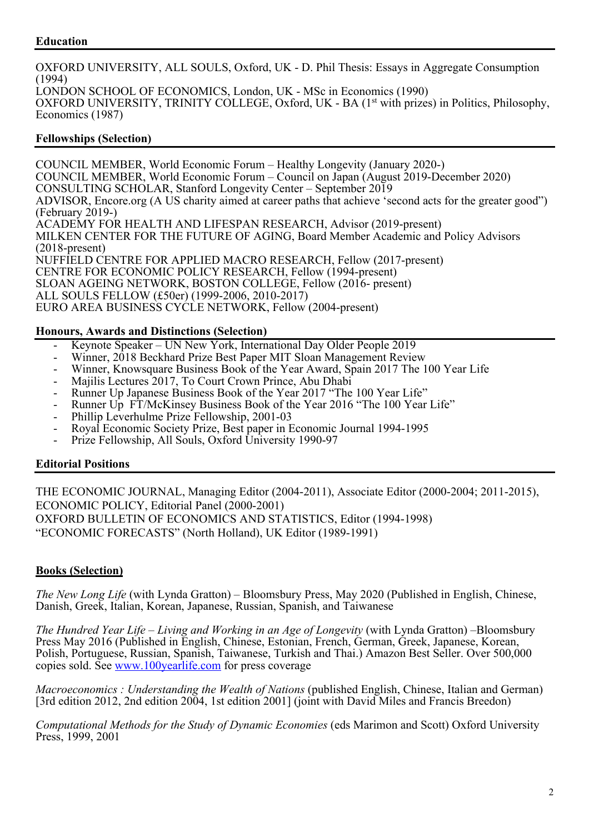# **Education**

OXFORD UNIVERSITY, ALL SOULS, Oxford, UK - D. Phil Thesis: Essays in Aggregate Consumption (1994) LONDON SCHOOL OF ECONOMICS, London, UK - MSc in Economics (1990) OXFORD UNIVERSITY, TRINITY COLLEGE, Oxford, UK - BA (1<sup>st</sup> with prizes) in Politics, Philosophy, Economics (1987)

# **Fellowships (Selection)**

COUNCIL MEMBER, World Economic Forum – Healthy Longevity (January 2020-) COUNCIL MEMBER, World Economic Forum – Council on Japan (August 2019-December 2020) CONSULTING SCHOLAR, Stanford Longevity Center – September 2019 ADVISOR, Encore.org (A US charity aimed at career paths that achieve 'second acts for the greater good") (February 2019-) ACADEMY FOR HEALTH AND LIFESPAN RESEARCH, Advisor (2019-present) MILKEN CENTER FOR THE FUTURE OF AGING, Board Member Academic and Policy Advisors (2018-present) NUFFIELD CENTRE FOR APPLIED MACRO RESEARCH, Fellow (2017-present) CENTRE FOR ECONOMIC POLICY RESEARCH, Fellow (1994-present) SLOAN AGEING NETWORK, BOSTON COLLEGE, Fellow (2016- present) ALL SOULS FELLOW (£50er) (1999-2006, 2010-2017) EURO AREA BUSINESS CYCLE NETWORK, Fellow (2004-present)

#### **Honours, Awards and Distinctions (Selection)**

- Keynote Speaker UN New York, International Day Older People 2019
- Winner, 2018 Beckhard Prize Best Paper MIT Sloan Management Review
- Winner, Knowsquare Business Book of the Year Award, Spain 2017 The 100 Year Life
- Majilis Lectures 2017, To Court Crown Prince, Abu Dhabi
- Runner Up Japanese Business Book of the Year 2017 "The 100 Year Life"
- Runner Up FT/McKinsey Business Book of the Year 2016 "The 100 Year Life"
- Phillip Leverhulme Prize Fellowship, 2001-03
- Royal Economic Society Prize, Best paper in Economic Journal 1994-1995
- Prize Fellowship, All Souls, Oxford University 1990-97

#### **Editorial Positions**

THE ECONOMIC JOURNAL, Managing Editor (2004-2011), Associate Editor (2000-2004; 2011-2015), ECONOMIC POLICY, Editorial Panel (2000-2001) OXFORD BULLETIN OF ECONOMICS AND STATISTICS, Editor (1994-1998) "ECONOMIC FORECASTS" (North Holland), UK Editor (1989-1991)

# **Books (Selection)**

*The New Long Life* (with Lynda Gratton) – Bloomsbury Press, May 2020 (Published in English, Chinese, Danish, Greek, Italian, Korean, Japanese, Russian, Spanish, and Taiwanese

*The Hundred Year Life – Living and Working in an Age of Longevity* (with Lynda Gratton) –Bloomsbury Press May 2016 (Published in English, Chinese, Estonian, French, German, Greek, Japanese, Korean, Polish, Portuguese, Russian, Spanish, Taiwanese, Turkish and Thai.) Amazon Best Seller. Over 500,000 copies sold. See www.100yearlife.com for press coverage

*Macroeconomics : Understanding the Wealth of Nations* (published English, Chinese, Italian and German) [3rd edition 2012, 2nd edition 2004, 1st edition 2001] (joint with David Miles and Francis Breedon)

*Computational Methods for the Study of Dynamic Economies* (eds Marimon and Scott) Oxford University Press, 1999, 2001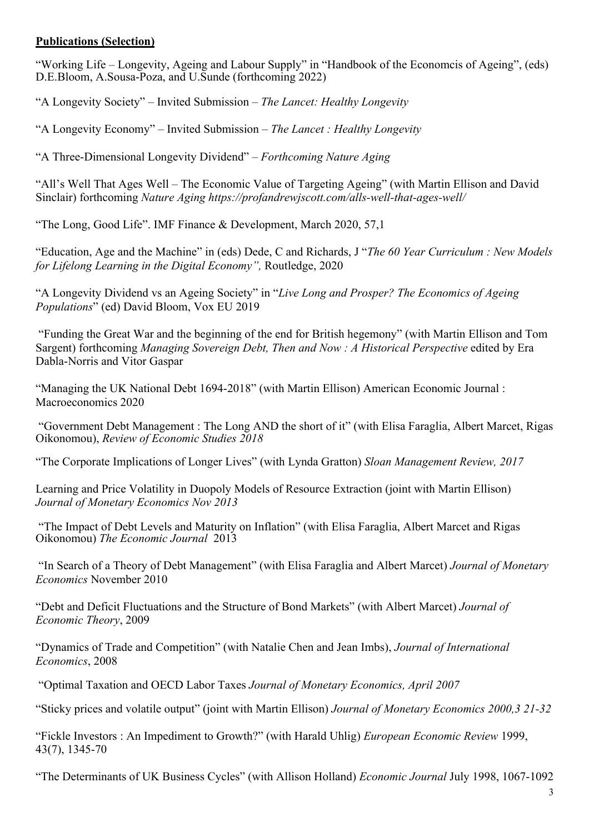# **Publications (Selection)**

"Working Life – Longevity, Ageing and Labour Supply" in "Handbook of the Economcis of Ageing", (eds) D.E.Bloom, A.Sousa-Poza, and U.Sunde (forthcoming 2022)

"A Longevity Society" – Invited Submission – *The Lancet: Healthy Longevity*

"A Longevity Economy" – Invited Submission – *The Lancet : Healthy Longevity*

"A Three-Dimensional Longevity Dividend" – *Forthcoming Nature Aging*

"All's Well That Ages Well – The Economic Value of Targeting Ageing" (with Martin Ellison and David Sinclair) forthcoming *Nature Aging https://profandrewjscott.com/alls-well-that-ages-well/*

"The Long, Good Life". IMF Finance & Development, March 2020, 57,1

"Education, Age and the Machine" in (eds) Dede, C and Richards, J "*The 60 Year Curriculum : New Models for Lifelong Learning in the Digital Economy",* Routledge, 2020

"A Longevity Dividend vs an Ageing Society" in "*Live Long and Prosper? The Economics of Ageing Populations*" (ed) David Bloom, Vox EU 2019

"Funding the Great War and the beginning of the end for British hegemony" (with Martin Ellison and Tom Sargent) forthcoming *Managing Sovereign Debt, Then and Now : A Historical Perspective* edited by Era Dabla-Norris and Vitor Gaspar

"Managing the UK National Debt 1694-2018" (with Martin Ellison) American Economic Journal : Macroeconomics 2020

"Government Debt Management : The Long AND the short of it" (with Elisa Faraglia, Albert Marcet, Rigas Oikonomou), *Review of Economic Studies 2018*

"The Corporate Implications of Longer Lives" (with Lynda Gratton) *Sloan Management Review, 2017*

Learning and Price Volatility in Duopoly Models of Resource Extraction (joint with Martin Ellison) *Journal of Monetary Economics Nov 2013*

"The Impact of Debt Levels and Maturity on Inflation" (with Elisa Faraglia, Albert Marcet and Rigas Oikonomou) *The Economic Journal* 2013

"In Search of a Theory of Debt Management" (with Elisa Faraglia and Albert Marcet) *Journal of Monetary Economics* November 2010

"Debt and Deficit Fluctuations and the Structure of Bond Markets" (with Albert Marcet) *Journal of Economic Theory*, 2009

"Dynamics of Trade and Competition" (with Natalie Chen and Jean Imbs), *Journal of International Economics*, 2008

"Optimal Taxation and OECD Labor Taxes *Journal of Monetary Economics, April 2007*

"Sticky prices and volatile output" (joint with Martin Ellison) *Journal of Monetary Economics 2000,3 21-32*

"Fickle Investors : An Impediment to Growth?" (with Harald Uhlig) *European Economic Review* 1999, 43(7), 1345-70

"The Determinants of UK Business Cycles" (with Allison Holland) *Economic Journal* July 1998, 1067-1092